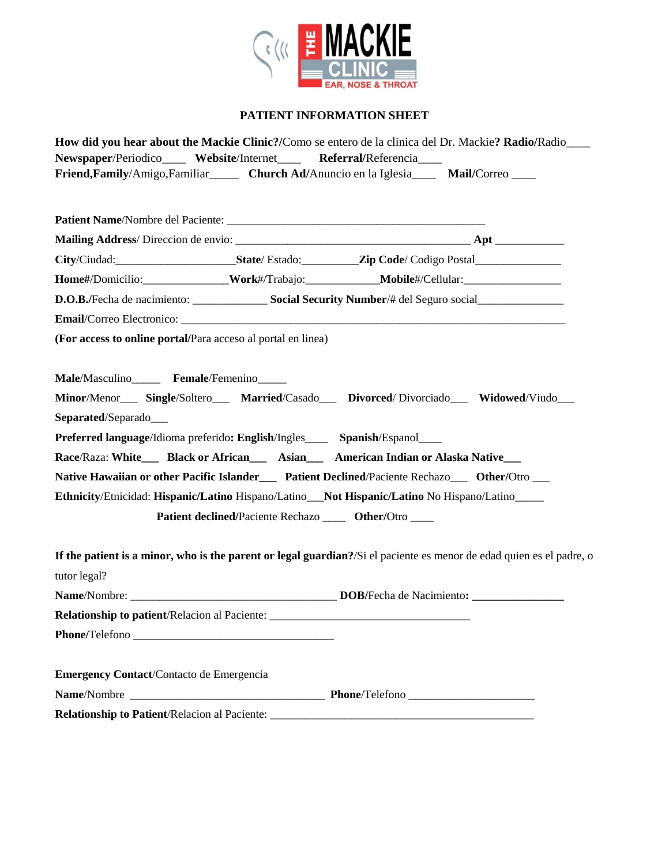

### **PATIENT INFORMATION SHEET**

|                                                                                   | How did you hear about the Mackie Clinic?/Como se entero de la clinica del Dr. Mackie? Radio/Radio________           |
|-----------------------------------------------------------------------------------|----------------------------------------------------------------------------------------------------------------------|
| Newspaper/Periodico____ Website/Internet____ Referral/Referencia___               |                                                                                                                      |
|                                                                                   | Friend, Family/Amigo, Familiar_______ Church Ad/Anuncio en la Iglesia______ Mail/Correo____                          |
|                                                                                   |                                                                                                                      |
|                                                                                   |                                                                                                                      |
|                                                                                   |                                                                                                                      |
|                                                                                   | City/Ciudad:___________________________State/Estado:____________Zip Code/Codigo Postal______________                 |
|                                                                                   | Home#/Domicilio:_____________Work#/Trabajo:___________Mobile#/Cellular:__________                                    |
|                                                                                   | D.O.B./Fecha de nacimiento: Social Security Number/# del Seguro social                                               |
|                                                                                   |                                                                                                                      |
| (For access to online portal/Para acceso al portal en linea)                      |                                                                                                                      |
|                                                                                   |                                                                                                                      |
| Male/Masculino______ Female/Femenino_____                                         |                                                                                                                      |
|                                                                                   | Minor/Menor___ Single/Soltero___ Married/Casado___ Divorced/Divorciado___ Widowed/Viudo___                           |
| Separated/Separado                                                                |                                                                                                                      |
| Preferred language/Idioma preferido: English/Ingles______ Spanish/Espanol_____    |                                                                                                                      |
|                                                                                   | Race/Raza: White___ Black or African___ Asian___ American Indian or Alaska Native___                                 |
|                                                                                   | Native Hawaiian or other Pacific Islander___ Patient Declined/Paciente Rechazo__ Other/Otro __                       |
|                                                                                   | Ethnicity/Etnicidad: Hispanic/Latino Hispano/Latino_Not Hispanic/Latino No Hispano/Latino____                        |
|                                                                                   | Patient declined/Paciente Rechazo ______ Other/Otro _____                                                            |
|                                                                                   |                                                                                                                      |
|                                                                                   | If the patient is a minor, who is the parent or legal guardian?/Si el paciente es menor de edad quien es el padre, o |
| tutor legal?                                                                      |                                                                                                                      |
|                                                                                   |                                                                                                                      |
| Relationship to patient/Relacion al Paciente: ___________________________________ |                                                                                                                      |
|                                                                                   |                                                                                                                      |
|                                                                                   |                                                                                                                      |
| <b>Emergency Contact/Contacto de Emergencia</b>                                   |                                                                                                                      |
|                                                                                   |                                                                                                                      |
|                                                                                   | Relationship to Patient/Relacion al Paciente: ___________________________________                                    |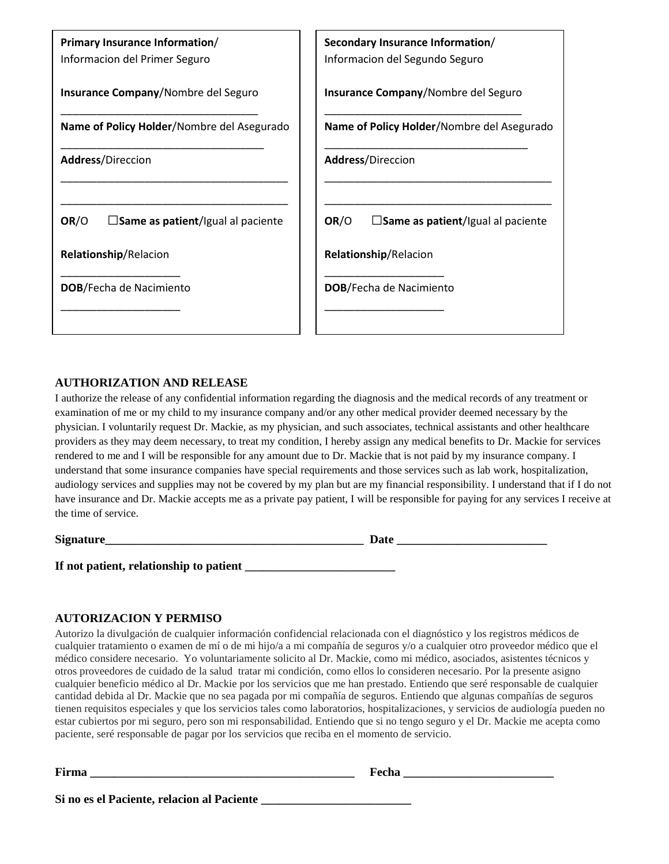| Primary Insurance Information/<br>Informacion del Primer Seguro | Secondary Insurance Information/<br>Informacion del Segundo Seguro |
|-----------------------------------------------------------------|--------------------------------------------------------------------|
| <b>Insurance Company/Nombre del Seguro</b>                      | <b>Insurance Company/Nombre del Seguro</b>                         |
| Name of Policy Holder/Nombre del Asegurado                      | Name of Policy Holder/Nombre del Asegurado                         |
| <b>Address/Direccion</b>                                        | <b>Address/Direccion</b>                                           |
|                                                                 |                                                                    |
| OR/O<br>$\square$ Same as patient/Igual al paciente             | OR/O<br>$\square$ Same as patient/Igual al paciente                |
| Relationship/Relacion                                           | Relationship/Relacion                                              |
| <b>DOB/Fecha de Nacimiento</b>                                  | <b>DOB/Fecha de Nacimiento</b>                                     |
|                                                                 |                                                                    |

#### **AUTHORIZATION AND RELEASE**

I authorize the release of any confidential information regarding the diagnosis and the medical records of any treatment or examination of me or my child to my insurance company and/or any other medical provider deemed necessary by the physician. I voluntarily request Dr. Mackie, as my physician, and such associates, technical assistants and other healthcare providers as they may deem necessary, to treat my condition, I hereby assign any medical benefits to Dr. Mackie for services rendered to me and I will be responsible for any amount due to Dr. Mackie that is not paid by my insurance company. I understand that some insurance companies have special requirements and those services such as lab work, hospitalization, audiology services and supplies may not be covered by my plan but are my financial responsibility. I understand that if I do not have insurance and Dr. Mackie accepts me as a private pay patient, I will be responsible for paying for any services I receive at the time of service.

| Signature                               | Date |  |
|-----------------------------------------|------|--|
|                                         |      |  |
| If not patient, relationship to patient |      |  |

#### **AUTORIZACION Y PERMISO**

Autorizo la divulgación de cualquier información confidencial relacionada con el diagnóstico y los registros médicos de cualquier tratamiento o examen de mí o de mi hijo/a a mi compañía de seguros y/o a cualquier otro proveedor médico que el médico considere necesario. Yo voluntariamente solicito al Dr. Mackie, como mi médico, asociados, asistentes técnicos y otros proveedores de cuidado de la salud tratar mi condición, como ellos lo consideren necesario. Por la presente asigno cualquier beneficio médico al Dr. Mackie por los servicios que me han prestado. Entiendo que seré responsable de cualquier cantidad debida al Dr. Mackie que no sea pagada por mi compañía de seguros. Entiendo que algunas compañías de seguros tienen requisitos especiales y que los servicios tales como laboratorios, hospitalizaciones, y servicios de audiología pueden no estar cubiertos por mi seguro, pero son mi responsabilidad. Entiendo que si no tengo seguro y el Dr. Mackie me acepta como paciente, seré responsable de pagar por los servicios que reciba en el momento de servicio.

**Firma \_\_\_\_\_\_\_\_\_\_\_\_\_\_\_\_\_\_\_\_\_\_\_\_\_\_\_\_\_\_\_\_\_\_\_\_\_\_\_\_\_\_\_\_ Fecha \_\_\_\_\_\_\_\_\_\_\_\_\_\_\_\_\_\_\_\_\_\_\_\_\_**

**Si no es el Paciente, relacion al Paciente \_\_\_\_\_\_\_\_\_\_\_\_\_\_\_\_\_\_\_\_\_\_\_\_\_**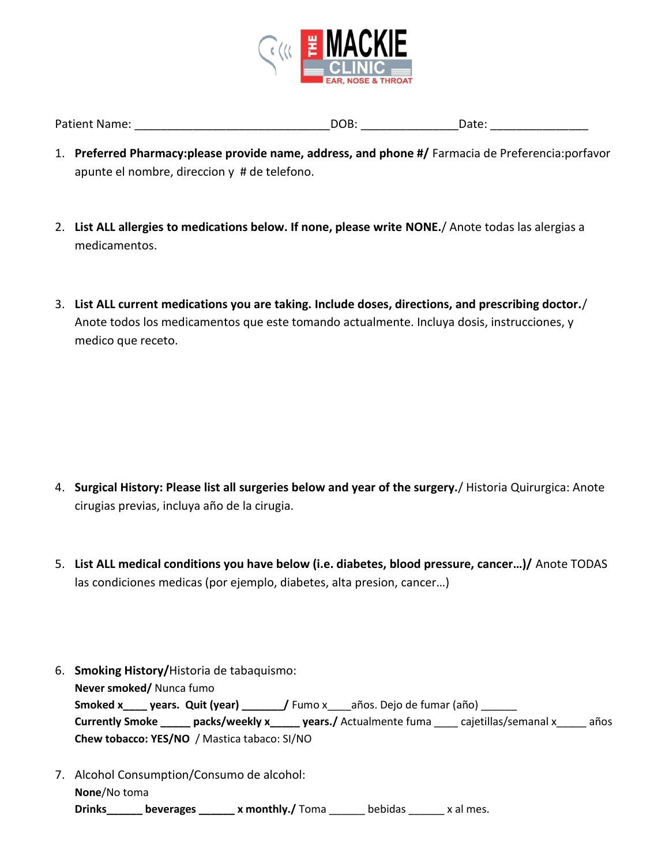

| <b>Patient Name:</b> | DOB: | Date: |
|----------------------|------|-------|
|                      |      |       |

- 1. **Preferred Pharmacy:please provide name, address, and phone #/** Farmacia de Preferencia:porfavor apunte el nombre, direccion y # de telefono.
- 2. **List ALL allergies to medications below. If none, please write NONE.**/ Anote todas las alergias a medicamentos.
- 3. **List ALL current medications you are taking. Include doses, directions, and prescribing doctor.**/ Anote todos los medicamentos que este tomando actualmente. Incluya dosis, instrucciones, y medico que receto.

- 4. **Surgical History: Please list all surgeries below and year of the surgery.**/ Historia Quirurgica: Anote cirugias previas, incluya año de la cirugia.
- 5. **List ALL medical conditions you have below (i.e. diabetes, blood pressure, cancer…)/** Anote TODAS las condiciones medicas (por ejemplo, diabetes, alta presion, cancer…)
- 6. **Smoking History/**Historia de tabaquismo: **Never smoked/** Nunca fumo Smoked x\_\_\_\_ years. Quit (year) \_\_\_\_\_\_ / Fumo x\_\_\_años. Dejo de fumar (año) \_\_\_\_\_ **Currently Smoke \_\_\_\_\_ packs/weekly x\_\_\_\_\_ years./** Actualmente fuma \_\_\_\_ cajetillas/semanal x\_\_\_\_\_ años **Chew tobacco: YES/NO** / Mastica tabaco: SI/NO
- 7. Alcohol Consumption/Consumo de alcohol: **None**/No toma **Drinks\_\_\_\_\_\_ beverages \_\_\_\_\_\_ x monthly./** Toma \_\_\_\_\_\_ bebidas \_\_\_\_\_\_ x al mes.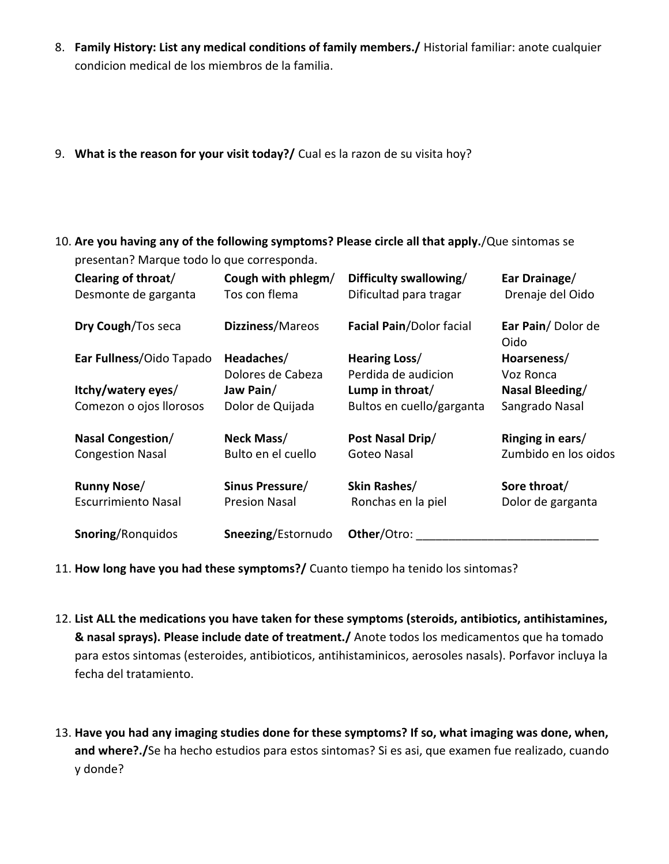- 8. **Family History: List any medical conditions of family members./** Historial familiar: anote cualquier condicion medical de los miembros de la familia.
- 9. **What is the reason for your visit today?/** Cual es la razon de su visita hoy?
- 10. **Are you having any of the following symptoms? Please circle all that apply.**/Que sintomas se presentan? Marque todo lo que corresponda.

| Clearing of throat/<br>Desmonte de garganta         | Cough with phlegm/<br>Tos con flema     | Difficulty swallowing/<br>Dificultad para tragar | Ear Drainage/<br>Drenaje del Oido        |
|-----------------------------------------------------|-----------------------------------------|--------------------------------------------------|------------------------------------------|
| Dry Cough/Tos seca                                  | Dizziness/Mareos                        | <b>Facial Pain/Dolor facial</b>                  | Ear Pain/Dolor de<br>Oido                |
| Ear Fullness/Oido Tapado                            | Headaches/                              | Hearing Loss/                                    | Hoarseness/                              |
|                                                     | Dolores de Cabeza                       | Perdida de audicion                              | Voz Ronca                                |
| Itchy/watery eyes/                                  | Jaw Pain/                               | Lump in throat/                                  | Nasal Bleeding/                          |
| Comezon o ojos llorosos                             | Dolor de Quijada                        | Bultos en cuello/garganta                        | Sangrado Nasal                           |
| <b>Nasal Congestion/</b><br><b>Congestion Nasal</b> | Neck Mass/<br>Bulto en el cuello        | Post Nasal Drip/<br>Goteo Nasal                  | Ringing in ears/<br>Zumbido en los oidos |
| <b>Runny Nose/</b><br><b>Escurrimiento Nasal</b>    | Sinus Pressure/<br><b>Presion Nasal</b> | Skin Rashes/<br>Ronchas en la piel               | Sore throat/<br>Dolor de garganta        |
| <b>Snoring/Ronguidos</b>                            | Sneezing/Estornudo                      | Other/Otro:                                      |                                          |

- 11. **How long have you had these symptoms?/** Cuanto tiempo ha tenido los sintomas?
- 12. **List ALL the medications you have taken for these symptoms (steroids, antibiotics, antihistamines, & nasal sprays). Please include date of treatment./** Anote todos los medicamentos que ha tomado para estos sintomas (esteroides, antibioticos, antihistaminicos, aerosoles nasals). Porfavor incluya la fecha del tratamiento.
- 13. **Have you had any imaging studies done for these symptoms? If so, what imaging was done, when, and where?./**Se ha hecho estudios para estos sintomas? Si es asi, que examen fue realizado, cuando y donde?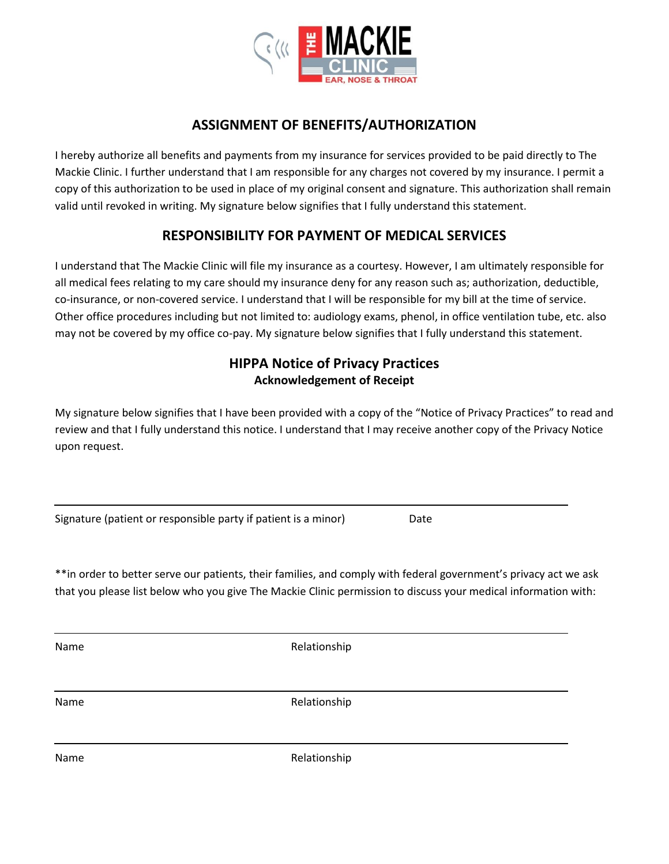

# **ASSIGNMENT OF BENEFITS/AUTHORIZATION**

I hereby authorize all benefits and payments from my insurance for services provided to be paid directly to The Mackie Clinic. I further understand that I am responsible for any charges not covered by my insurance. I permit a copy of this authorization to be used in place of my original consent and signature. This authorization shall remain valid until revoked in writing. My signature below signifies that I fully understand this statement.

# **RESPONSIBILITY FOR PAYMENT OF MEDICAL SERVICES**

I understand that The Mackie Clinic will file my insurance as a courtesy. However, I am ultimately responsible for all medical fees relating to my care should my insurance deny for any reason such as; authorization, deductible, co-insurance, or non-covered service. I understand that I will be responsible for my bill at the time of service. Other office procedures including but not limited to: audiology exams, phenol, in office ventilation tube, etc. also may not be covered by my office co-pay. My signature below signifies that I fully understand this statement.

## **HIPPA Notice of Privacy Practices Acknowledgement of Receipt**

My signature below signifies that I have been provided with a copy of the "Notice of Privacy Practices" to read and review and that I fully understand this notice. I understand that I may receive another copy of the Privacy Notice upon request.

|  |  | Signature (patient or responsible party if patient is a minor) | Date |
|--|--|----------------------------------------------------------------|------|
|  |  |                                                                |      |

\*\*in order to better serve our patients, their families, and comply with federal government's privacy act we ask that you please list below who you give The Mackie Clinic permission to discuss your medical information with:

Name Relationship

Name Relationship

Name Relationship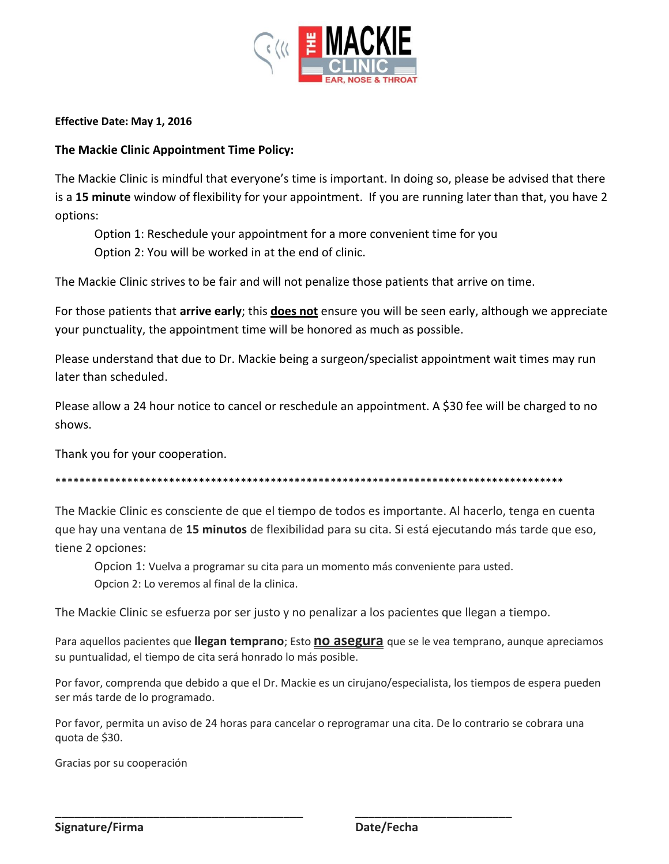

#### **Effective Date: May 1, 2016**

### **The Mackie Clinic Appointment Time Policy:**

The Mackie Clinic is mindful that everyone's time is important. In doing so, please be advised that there is a **15 minute** window of flexibility for your appointment. If you are running later than that, you have 2 options:

Option 1: Reschedule your appointment for a more convenient time for you Option 2: You will be worked in at the end of clinic.

The Mackie Clinic strives to be fair and will not penalize those patients that arrive on time.

For those patients that **arrive early**; this **does not** ensure you will be seen early, although we appreciate your punctuality, the appointment time will be honored as much as possible.

Please understand that due to Dr. Mackie being a surgeon/specialist appointment wait times may run later than scheduled.

Please allow a 24 hour notice to cancel or reschedule an appointment. A \$30 fee will be charged to no shows.

Thank you for your cooperation.

\*\*\*\*\*\*\*\*\*\*\*\*\*\*\*\*\*\*\*\*\*\*\*\*\*\*\*\*\*\*\*\*\*\*\*\*\*\*\*\*\*\*\*\*\*\*\*\*\*\*\*\*\*\*\*\*\*\*\*\*\*\*\*\*\*\*\*\*\*\*\*\*\*\*\*\*\*\*\*\*\*\*\*\*\*

The Mackie Clinic es consciente de que el tiempo de todos es importante. Al hacerlo, tenga en cuenta que hay una ventana de **15 minutos** de flexibilidad para su cita. Si está ejecutando más tarde que eso, tiene 2 opciones:

Opcion 1: Vuelva a programar su cita para un momento más conveniente para usted. Opcion 2: Lo veremos al final de la clinica.

The Mackie Clinic se esfuerza por ser justo y no penalizar a los pacientes que llegan a tiempo.

Para aquellos pacientes que **llegan temprano**; Esto **no asegura** que se le vea temprano, aunque apreciamos su puntualidad, el tiempo de cita será honrado lo más posible.

Por favor, comprenda que debido a que el Dr. Mackie es un cirujano/especialista, los tiempos de espera pueden ser más tarde de lo programado.

Por favor, permita un aviso de 24 horas para cancelar o reprogramar una cita. De lo contrario se cobrara una quota de \$30.

**\_\_\_\_\_\_\_\_\_\_\_\_\_\_\_\_\_\_\_\_\_\_\_\_\_\_\_\_\_\_\_\_\_\_\_\_\_\_ \_\_\_\_\_\_\_\_\_\_\_\_\_\_\_\_\_\_\_\_\_\_\_\_**

Gracias por su cooperación

**Signature/Firma Date/Fecha**